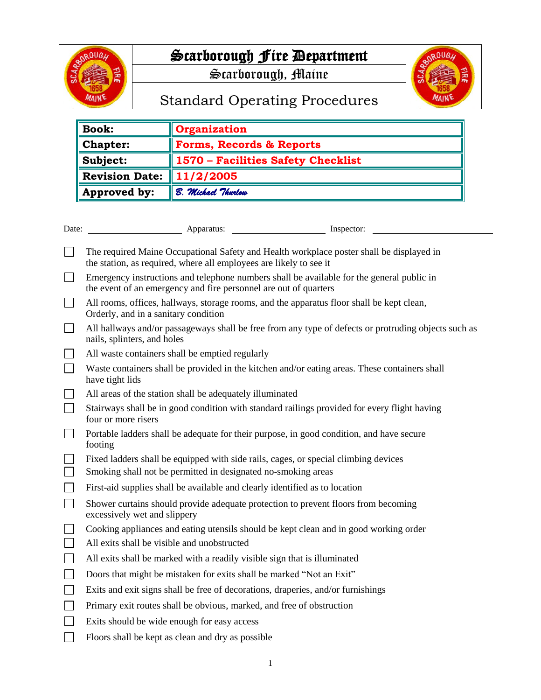

## Scarborough Fire Department

Scarborough, Maine



## Standard Operating Procedures

| <b>Book:</b>          | <b>Organization</b>                 |
|-----------------------|-------------------------------------|
| <b>Chapter:</b>       | <b>Forms, Records &amp; Reports</b> |
| Subject:              | 1570 - Facilities Safety Checklist  |
| <b>Revision Date:</b> | 11/2/2005                           |
| Approved by:          | B. Michael Thurlow                  |

| Date: | Apparatus:                                                                                                                                                     | Inspector: |  |
|-------|----------------------------------------------------------------------------------------------------------------------------------------------------------------|------------|--|
|       | The required Maine Occupational Safety and Health workplace poster shall be displayed in<br>the station, as required, where all employees are likely to see it |            |  |
|       | Emergency instructions and telephone numbers shall be available for the general public in<br>the event of an emergency and fire personnel are out of quarters  |            |  |
|       | All rooms, offices, hallways, storage rooms, and the apparatus floor shall be kept clean,<br>Orderly, and in a sanitary condition                              |            |  |
|       | All hallways and/or passageways shall be free from any type of defects or protruding objects such as<br>nails, splinters, and holes                            |            |  |
|       | All waste containers shall be emptied regularly                                                                                                                |            |  |
|       | Waste containers shall be provided in the kitchen and/or eating areas. These containers shall                                                                  |            |  |

- the kitchen and/or eating have tight lids
- All areas of the station shall be adequately illuminated  $\mathbf{L}$
- $\Box$ Stairways shall be in good condition with standard railings provided for every flight having four or more risers
- $\Box$ Portable ladders shall be adequate for their purpose, in good condition, and have secure footing
- Fixed ladders shall be equipped with side rails, cages, or special climbing devices  $\mathbf{1}$
- $\Box$ Smoking shall not be permitted in designated no-smoking areas
- $\mathbb{R}^n$ First-aid supplies shall be available and clearly identified as to location
- $\Box$ Shower curtains should provide adequate protection to prevent floors from becoming excessively wet and slippery
- $\Box$ Cooking appliances and eating utensils should be kept clean and in good working order
- $\Box$ All exits shall be visible and unobstructed
- $\Box$ All exits shall be marked with a readily visible sign that is illuminated
- $\Box$ Doors that might be mistaken for exits shall be marked "Not an Exit"
- $\Box$ Exits and exit signs shall be free of decorations, draperies, and/or furnishings
- $\Box$ Primary exit routes shall be obvious, marked, and free of obstruction
- $\Box$ Exits should be wide enough for easy access
- Floors shall be kept as clean and dry as possible